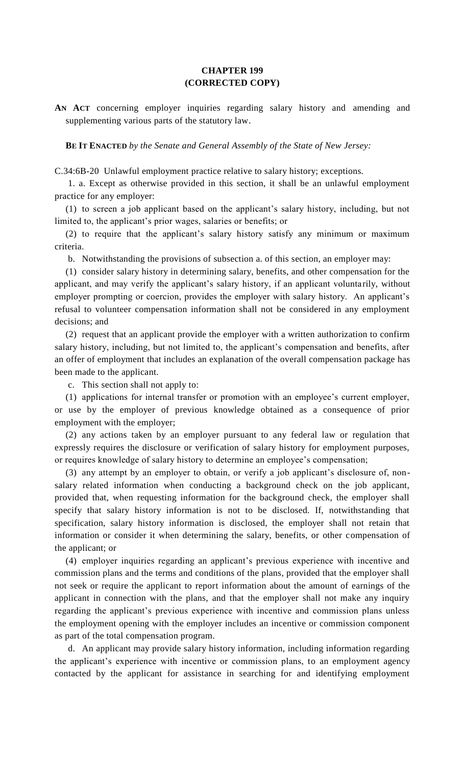## **CHAPTER 199 (CORRECTED COPY)**

**AN ACT** concerning employer inquiries regarding salary history and amending and supplementing various parts of the statutory law.

**BE IT ENACTED** *by the Senate and General Assembly of the State of New Jersey:*

C.34:6B-20 Unlawful employment practice relative to salary history; exceptions.

1. a. Except as otherwise provided in this section, it shall be an unlawful employment practice for any employer:

(1) to screen a job applicant based on the applicant's salary history, including, but not limited to, the applicant's prior wages, salaries or benefits; or

(2) to require that the applicant's salary history satisfy any minimum or maximum criteria.

b. Notwithstanding the provisions of subsection a. of this section, an employer may:

(1) consider salary history in determining salary, benefits, and other compensation for the applicant, and may verify the applicant's salary history, if an applicant voluntarily, without employer prompting or coercion, provides the employer with salary history. An applicant's refusal to volunteer compensation information shall not be considered in any employment decisions; and

(2) request that an applicant provide the employer with a written authorization to confirm salary history, including, but not limited to, the applicant's compensation and benefits, after an offer of employment that includes an explanation of the overall compensation package has been made to the applicant.

c. This section shall not apply to:

(1) applications for internal transfer or promotion with an employee's current employer, or use by the employer of previous knowledge obtained as a consequence of prior employment with the employer;

(2) any actions taken by an employer pursuant to any federal law or regulation that expressly requires the disclosure or verification of salary history for employment purposes, or requires knowledge of salary history to determine an employee's compensation;

(3) any attempt by an employer to obtain, or verify a job applicant's disclosure of, nonsalary related information when conducting a background check on the job applicant, provided that, when requesting information for the background check, the employer shall specify that salary history information is not to be disclosed. If, notwithstanding that specification, salary history information is disclosed, the employer shall not retain that information or consider it when determining the salary, benefits, or other compensation of the applicant; or

(4) employer inquiries regarding an applicant's previous experience with incentive and commission plans and the terms and conditions of the plans, provided that the employer shall not seek or require the applicant to report information about the amount of earnings of the applicant in connection with the plans, and that the employer shall not make any inquiry regarding the applicant's previous experience with incentive and commission plans unless the employment opening with the employer includes an incentive or commission component as part of the total compensation program.

d. An applicant may provide salary history information, including information regarding the applicant's experience with incentive or commission plans, to an employment agency contacted by the applicant for assistance in searching for and identifying employment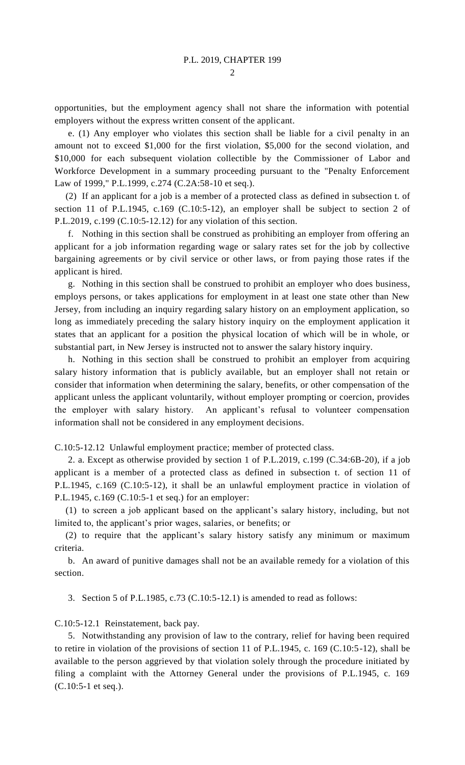opportunities, but the employment agency shall not share the information with potential employers without the express written consent of the applicant.

e. (1) Any employer who violates this section shall be liable for a civil penalty in an amount not to exceed \$1,000 for the first violation, \$5,000 for the second violation, and \$10,000 for each subsequent violation collectible by the Commissioner of Labor and Workforce Development in a summary proceeding pursuant to the "Penalty Enforcement Law of 1999," P.L.1999, c.274 (C.2A:58-10 et seq.).

(2) If an applicant for a job is a member of a protected class as defined in subsection t. of section 11 of P.L.1945, c.169 (C.10:5-12), an employer shall be subject to section 2 of P.L.2019, c.199 (C.10:5-12.12) for any violation of this section.

f. Nothing in this section shall be construed as prohibiting an employer from offering an applicant for a job information regarding wage or salary rates set for the job by collective bargaining agreements or by civil service or other laws, or from paying those rates if the applicant is hired.

g. Nothing in this section shall be construed to prohibit an employer who does business, employs persons, or takes applications for employment in at least one state other than New Jersey, from including an inquiry regarding salary history on an employment application, so long as immediately preceding the salary history inquiry on the employment application it states that an applicant for a position the physical location of which will be in whole, or substantial part, in New Jersey is instructed not to answer the salary history inquiry.

h. Nothing in this section shall be construed to prohibit an employer from acquiring salary history information that is publicly available, but an employer shall not retain or consider that information when determining the salary, benefits, or other compensation of the applicant unless the applicant voluntarily, without employer prompting or coercion, provides the employer with salary history. An applicant's refusal to volunteer compensation information shall not be considered in any employment decisions.

C.10:5-12.12 Unlawful employment practice; member of protected class.

2. a. Except as otherwise provided by section 1 of P.L.2019, c.199 (C.34:6B-20), if a job applicant is a member of a protected class as defined in subsection t. of section 11 of P.L.1945, c.169 (C.10:5-12), it shall be an unlawful employment practice in violation of P.L.1945, c.169 (C.10:5-1 et seq.) for an employer:

(1) to screen a job applicant based on the applicant's salary history, including, but not limited to, the applicant's prior wages, salaries, or benefits; or

(2) to require that the applicant's salary history satisfy any minimum or maximum criteria.

b. An award of punitive damages shall not be an available remedy for a violation of this section.

3. Section 5 of P.L.1985, c.73 (C.10:5-12.1) is amended to read as follows:

C.10:5-12.1 Reinstatement, back pay.

5. Notwithstanding any provision of law to the contrary, relief for having been required to retire in violation of the provisions of section 11 of P.L.1945, c. 169 (C.10:5-12), shall be available to the person aggrieved by that violation solely through the procedure initiated by filing a complaint with the Attorney General under the provisions of P.L.1945, c. 169 (C.10:5-1 et seq.).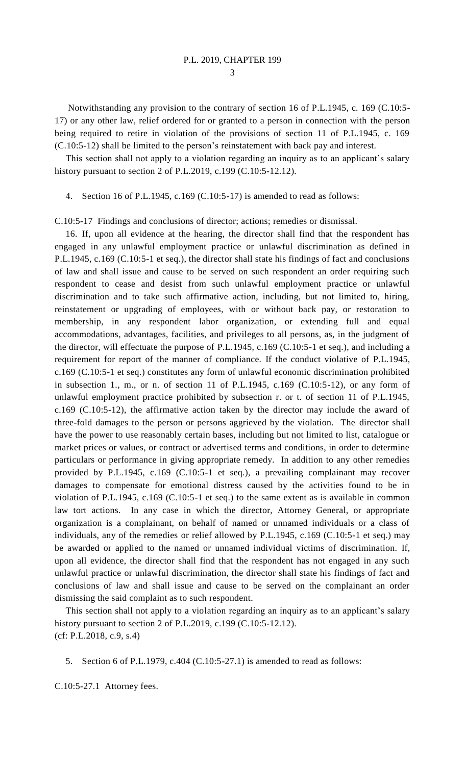3

Notwithstanding any provision to the contrary of section 16 of P.L.1945, c. 169 (C.10:5- 17) or any other law, relief ordered for or granted to a person in connection with the person being required to retire in violation of the provisions of section 11 of P.L.1945, c. 169 (C.10:5-12) shall be limited to the person's reinstatement with back pay and interest.

This section shall not apply to a violation regarding an inquiry as to an applicant's salary history pursuant to section 2 of P.L.2019, c.199 (C.10:5-12.12).

4. Section 16 of P.L.1945, c.169 (C.10:5-17) is amended to read as follows:

C.10:5-17 Findings and conclusions of director; actions; remedies or dismissal.

16. If, upon all evidence at the hearing, the director shall find that the respondent has engaged in any unlawful employment practice or unlawful discrimination as defined in P.L.1945, c.169 (C.10:5-1 et seq.), the director shall state his findings of fact and conclusions of law and shall issue and cause to be served on such respondent an order requiring such respondent to cease and desist from such unlawful employment practice or unlawful discrimination and to take such affirmative action, including, but not limited to, hiring, reinstatement or upgrading of employees, with or without back pay, or restoration to membership, in any respondent labor organization, or extending full and equal accommodations, advantages, facilities, and privileges to all persons, as, in the judgment of the director, will effectuate the purpose of P.L.1945, c.169 (C.10:5-1 et seq.), and including a requirement for report of the manner of compliance. If the conduct violative of P.L.1945, c.169 (C.10:5-1 et seq.) constitutes any form of unlawful economic discrimination prohibited in subsection 1., m., or n. of section 11 of P.L.1945, c.169  $(C.10:5-12)$ , or any form of unlawful employment practice prohibited by subsection r. or t. of section 11 of P.L.1945, c.169 (C.10:5-12), the affirmative action taken by the director may include the award of three-fold damages to the person or persons aggrieved by the violation. The director shall have the power to use reasonably certain bases, including but not limited to list, catalogue or market prices or values, or contract or advertised terms and conditions, in order to determine particulars or performance in giving appropriate remedy. In addition to any other remedies provided by P.L.1945, c.169 (C.10:5-1 et seq.), a prevailing complainant may recover damages to compensate for emotional distress caused by the activities found to be in violation of P.L.1945, c.169 (C.10:5-1 et seq.) to the same extent as is available in common law tort actions. In any case in which the director, Attorney General, or appropriate organization is a complainant, on behalf of named or unnamed individuals or a class of individuals, any of the remedies or relief allowed by P.L.1945, c.169 (C.10:5-1 et seq.) may be awarded or applied to the named or unnamed individual victims of discrimination. If, upon all evidence, the director shall find that the respondent has not engaged in any such unlawful practice or unlawful discrimination, the director shall state his findings of fact and conclusions of law and shall issue and cause to be served on the complainant an order dismissing the said complaint as to such respondent.

This section shall not apply to a violation regarding an inquiry as to an applicant's salary history pursuant to section 2 of P.L.2019, c.199 (C.10:5-12.12). (cf: P.L.2018, c.9, s.4)

5. Section 6 of P.L.1979, c.404 (C.10:5-27.1) is amended to read as follows:

C.10:5-27.1 Attorney fees.